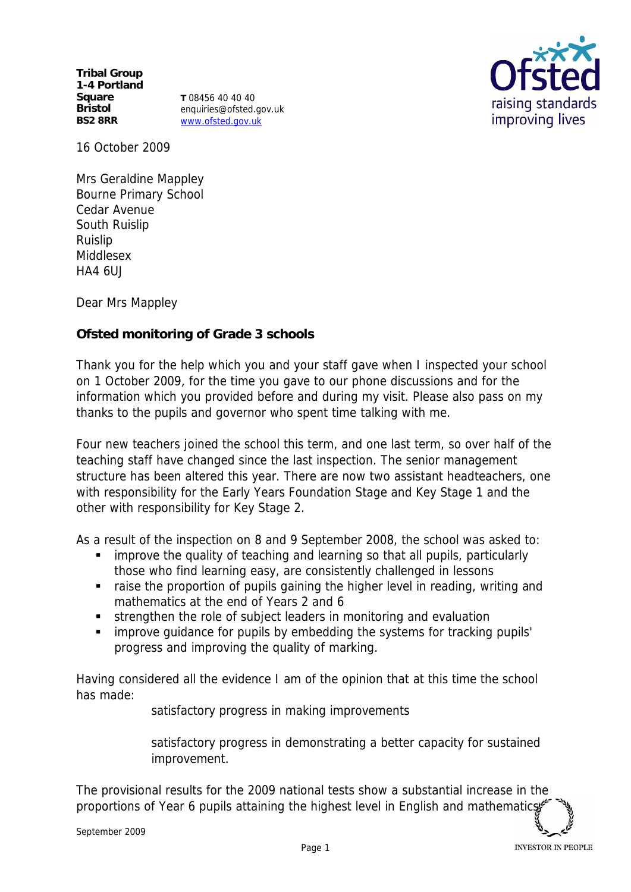**Tribal Group 1-4 Portland Square Bristol BS2 8RR**

**T** 08456 40 40 40 enquiries@ofsted.gov.uk www.ofsted.gov.uk



16 October 2009

Mrs Geraldine Mappley Bourne Primary School Cedar Avenue South Ruislip Ruislip Middlesex HA4 6UJ

Dear Mrs Mappley

**Ofsted monitoring of Grade 3 schools**

Thank you for the help which you and your staff gave when I inspected your school on 1 October 2009, for the time you gave to our phone discussions and for the information which you provided before and during my visit. Please also pass on my thanks to the pupils and governor who spent time talking with me.

Four new teachers joined the school this term, and one last term, so over half of the teaching staff have changed since the last inspection. The senior management structure has been altered this year. There are now two assistant headteachers, one with responsibility for the Early Years Foundation Stage and Key Stage 1 and the other with responsibility for Key Stage 2.

As a result of the inspection on 8 and 9 September 2008, the school was asked to:

- improve the quality of teaching and learning so that all pupils, particularly those who find learning easy, are consistently challenged in lessons
- raise the proportion of pupils gaining the higher level in reading, writing and mathematics at the end of Years 2 and 6
- strengthen the role of subject leaders in monitoring and evaluation
- improve guidance for pupils by embedding the systems for tracking pupils' progress and improving the quality of marking.

Having considered all the evidence I am of the opinion that at this time the school has made:

satisfactory progress in making improvements

satisfactory progress in demonstrating a better capacity for sustained improvement.

The provisional results for the 2009 national tests show a substantial increase in the proportions of Year 6 pupils attaining the highest level in English and mathematics,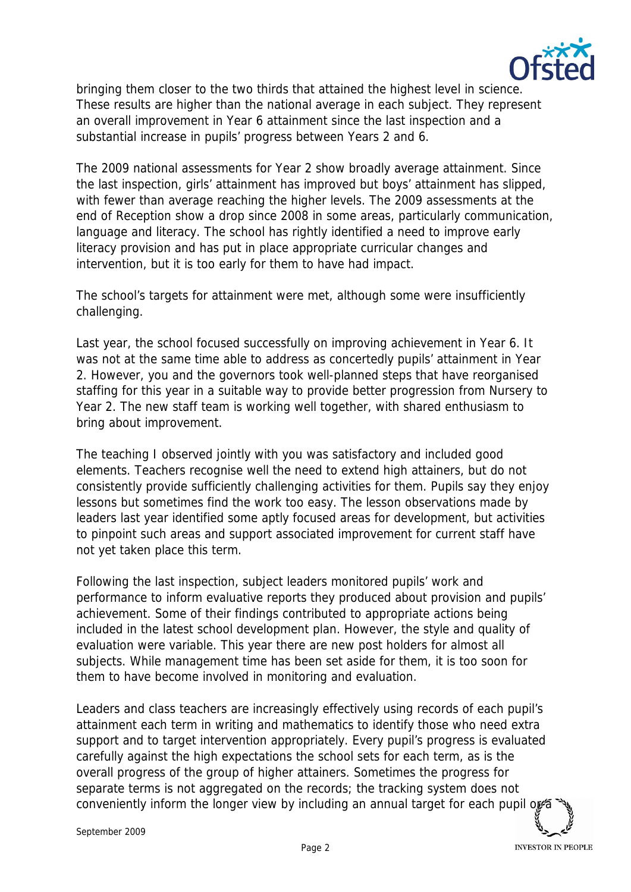

bringing them closer to the two thirds that attained the highest level in science. These results are higher than the national average in each subject. They represent an overall improvement in Year 6 attainment since the last inspection and a substantial increase in pupils' progress between Years 2 and 6.

The 2009 national assessments for Year 2 show broadly average attainment. Since the last inspection, girls' attainment has improved but boys' attainment has slipped, with fewer than average reaching the higher levels. The 2009 assessments at the end of Reception show a drop since 2008 in some areas, particularly communication, language and literacy. The school has rightly identified a need to improve early literacy provision and has put in place appropriate curricular changes and intervention, but it is too early for them to have had impact.

The school's targets for attainment were met, although some were insufficiently challenging.

Last year, the school focused successfully on improving achievement in Year 6. It was not at the same time able to address as concertedly pupils' attainment in Year 2. However, you and the governors took well-planned steps that have reorganised staffing for this year in a suitable way to provide better progression from Nursery to Year 2. The new staff team is working well together, with shared enthusiasm to bring about improvement.

The teaching I observed jointly with you was satisfactory and included good elements. Teachers recognise well the need to extend high attainers, but do not consistently provide sufficiently challenging activities for them. Pupils say they enjoy lessons but sometimes find the work too easy. The lesson observations made by leaders last year identified some aptly focused areas for development, but activities to pinpoint such areas and support associated improvement for current staff have not yet taken place this term.

Following the last inspection, subject leaders monitored pupils' work and performance to inform evaluative reports they produced about provision and pupils' achievement. Some of their findings contributed to appropriate actions being included in the latest school development plan. However, the style and quality of evaluation were variable. This year there are new post holders for almost all subjects. While management time has been set aside for them, it is too soon for them to have become involved in monitoring and evaluation.

Leaders and class teachers are increasingly effectively using records of each pupil's attainment each term in writing and mathematics to identify those who need extra support and to target intervention appropriately. Every pupil's progress is evaluated carefully against the high expectations the school sets for each term, as is the overall progress of the group of higher attainers. Sometimes the progress for separate terms is not aggregated on the records; the tracking system does not conveniently inform the longer view by including an annual target for each pupil or